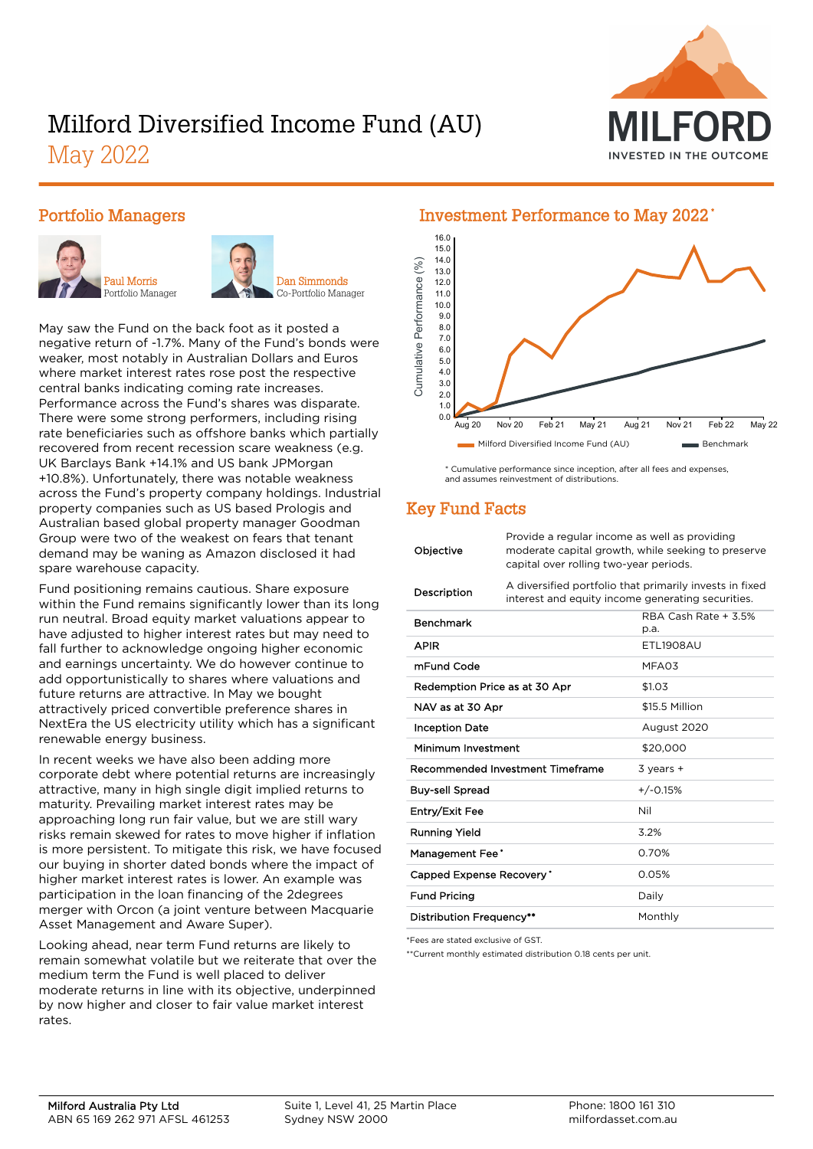# Milford Diversified Income Fund (AU)

May 2022



#### Portfolio Managers





Dan Simmonds Co-Portfolio Manager

May saw the Fund on the back foot as it posted a negative return of -1.7%. Many of the Fund's bonds were weaker, most notably in Australian Dollars and Euros where market interest rates rose post the respective central banks indicating coming rate increases. Performance across the Fund's shares was disparate. There were some strong performers, including rising rate beneficiaries such as offshore banks which partially recovered from recent recession scare weakness (e.g. UK Barclays Bank +14.1% and US bank JPMorgan +10.8%). Unfortunately, there was notable weakness across the Fund's property company holdings. Industrial property companies such as US based Prologis and Australian based global property manager Goodman Group were two of the weakest on fears that tenant demand may be waning as Amazon disclosed it had spare warehouse capacity.

Fund positioning remains cautious. Share exposure within the Fund remains significantly lower than its long run neutral. Broad equity market valuations appear to have adjusted to higher interest rates but may need to fall further to acknowledge ongoing higher economic and earnings uncertainty. We do however continue to add opportunistically to shares where valuations and future returns are attractive. In May we bought attractively priced convertible preference shares in NextEra the US electricity utility which has a significant renewable energy business.

In recent weeks we have also been adding more corporate debt where potential returns are increasingly attractive, many in high single digit implied returns to maturity. Prevailing market interest rates may be approaching long run fair value, but we are still wary risks remain skewed for rates to move higher if inflation is more persistent. To mitigate this risk, we have focused our buying in shorter dated bonds where the impact of higher market interest rates is lower. An example was participation in the loan financing of the 2degrees merger with Orcon (a joint venture between Macquarie Asset Management and Aware Super).

Looking ahead, near term Fund returns are likely to remain somewhat volatile but we reiterate that over the medium term the Fund is well placed to deliver moderate returns in line with its objective, underpinned by now higher and closer to fair value market interest rates.

#### Investment Performance to May 2022 \* 14.0 15.0 16.0



\* Cumulative performance since inception, after all fees and expenses, and assumes reinvestment of distributions.

## Key Fund Facts

| Objective                     | Provide a regular income as well as providing<br>moderate capital growth, while seeking to preserve<br>capital over rolling two-year periods. |                              |
|-------------------------------|-----------------------------------------------------------------------------------------------------------------------------------------------|------------------------------|
| Description                   | A diversified portfolio that primarily invests in fixed<br>interest and equity income generating securities.                                  |                              |
| <b>Benchmark</b>              |                                                                                                                                               | RBA Cash Rate + 3.5%<br>p.a. |
| <b>APIR</b>                   |                                                                                                                                               | ETL1908AU                    |
| mFund Code                    |                                                                                                                                               | MFA03                        |
| Redemption Price as at 30 Apr |                                                                                                                                               | \$1.03                       |
| NAV as at 30 Apr              |                                                                                                                                               | \$15.5 Million               |
| <b>Inception Date</b>         |                                                                                                                                               | August 2020                  |
| Minimum Investment            |                                                                                                                                               | \$20,000                     |
|                               | Recommended Investment Timeframe                                                                                                              | $3$ years $+$                |
| <b>Buy-sell Spread</b>        |                                                                                                                                               | $+/-0.15%$                   |
| Entry/Exit Fee                |                                                                                                                                               | Nil                          |
| Running Yield                 |                                                                                                                                               | 3.2%                         |
| Management Fee*               |                                                                                                                                               | 0.70%                        |
| Capped Expense Recovery'      |                                                                                                                                               | 0.05%                        |
| <b>Fund Pricing</b>           |                                                                                                                                               | Daily                        |
| Distribution Frequency**      |                                                                                                                                               | Monthly                      |

\*Fees are stated exclusive of GST.

\*\*Current monthly estimated distribution 0.18 cents per unit.